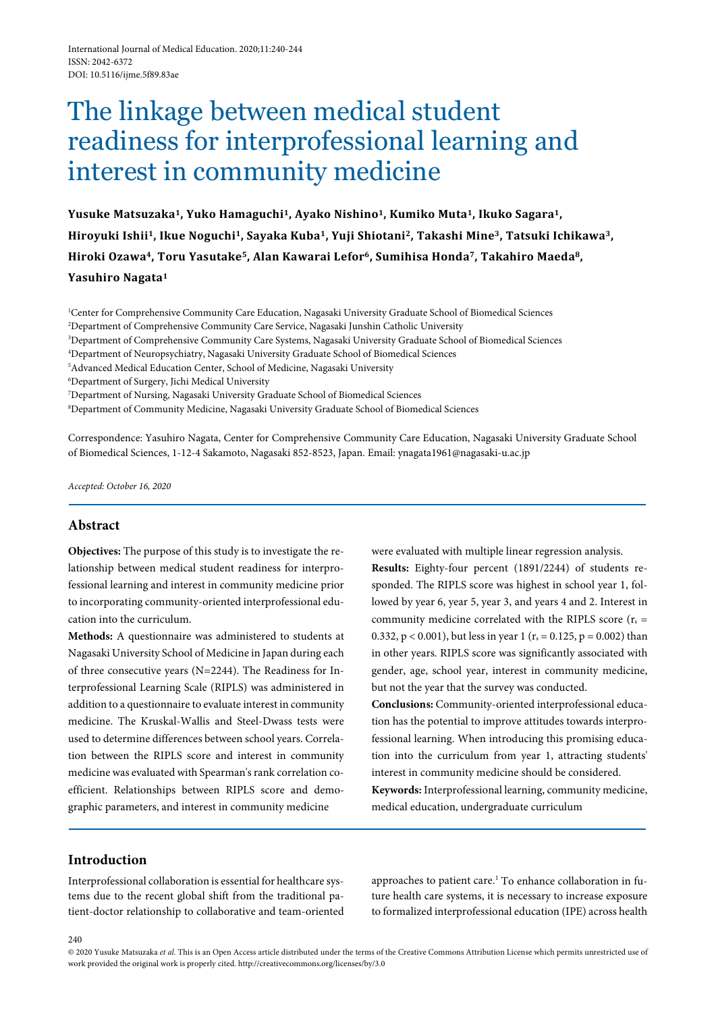# The linkage between medical student readiness for interprofessional learning and interest in community medicine

**Yusuke Matsuzaka1, Yuko Hamaguchi1, Ayako Nishino1, Kumiko Muta1, Ikuko Sagara1, Hiroyuki Ishii1, Ikue Noguchi1, Sayaka Kuba1, Yuji Shiotani2, Takashi Mine3, Tatsuki Ichikawa3, Hiroki Ozawa4, Toru Yasutake5, Alan Kawarai Lefor6, Sumihisa Honda7, Takahiro Maeda8, Yasuhiro Nagata1**

1 Center for Comprehensive Community Care Education, Nagasaki University Graduate School of Biomedical Sciences 2 Department of Comprehensive Community Care Service, Nagasaki Junshin Catholic University

3 Department of Comprehensive Community Care Systems, Nagasaki University Graduate School of Biomedical Sciences

4 Department of Neuropsychiatry, Nagasaki University Graduate School of Biomedical Sciences

5 Advanced Medical Education Center, School of Medicine, Nagasaki University

6 Department of Surgery, Jichi Medical University

7 Department of Nursing, Nagasaki University Graduate School of Biomedical Sciences

8 Department of Community Medicine, Nagasaki University Graduate School of Biomedical Sciences

Correspondence: Yasuhiro Nagata, Center for Comprehensive Community Care Education, Nagasaki University Graduate School of Biomedical Sciences, 1-12-4 Sakamoto, Nagasaki 852-8523, Japan. Email: ynagata1961@nagasaki-u.ac.jp

*Accepted: October 16, 2020*

## **Abstract**

**Objectives:** The purpose of this study is to investigate the relationship between medical student readiness for interprofessional learning and interest in community medicine prior to incorporating community-oriented interprofessional education into the curriculum.

**Methods:** A questionnaire was administered to students at Nagasaki University School of Medicine in Japan during each of three consecutive years (N=2244). The Readiness for Interprofessional Learning Scale (RIPLS) was administered in addition to a questionnaire to evaluate interest in community medicine. The Kruskal-Wallis and Steel-Dwass tests were used to determine differences between school years. Correlation between the RIPLS score and interest in community medicine was evaluated with Spearman's rank correlation coefficient. Relationships between RIPLS score and demographic parameters, and interest in community medicine

were evaluated with multiple linear regression analysis. **Results:** Eighty-four percent (1891/2244) of students responded. The RIPLS score was highest in school year 1, followed by year 6, year 5, year 3, and years 4 and 2. Interest in community medicine correlated with the RIPLS score ( $r_s$  = 0.332,  $p < 0.001$ ), but less in year 1 ( $r_s = 0.125$ ,  $p = 0.002$ ) than in other years. RIPLS score was significantly associated with gender, age, school year, interest in community medicine, but not the year that the survey was conducted.

**Conclusions:** Community-oriented interprofessional education has the potential to improve attitudes towards interprofessional learning. When introducing this promising education into the curriculum from year 1, attracting students' interest in community medicine should be considered.

**Keywords:** Interprofessional learning, community medicine, medical education, undergraduate curriculum

# **Introduction**

 $240$ 

Interprofessional collaboration is essential for healthcare systems due to the recent global shift from the traditional patient-doctor relationship to collaborative and team-oriented approaches to patient care.<sup>1</sup> To enhance collaboration in future health care systems, it is necessary to increase exposure to formalized interprofessional education (IPE) across health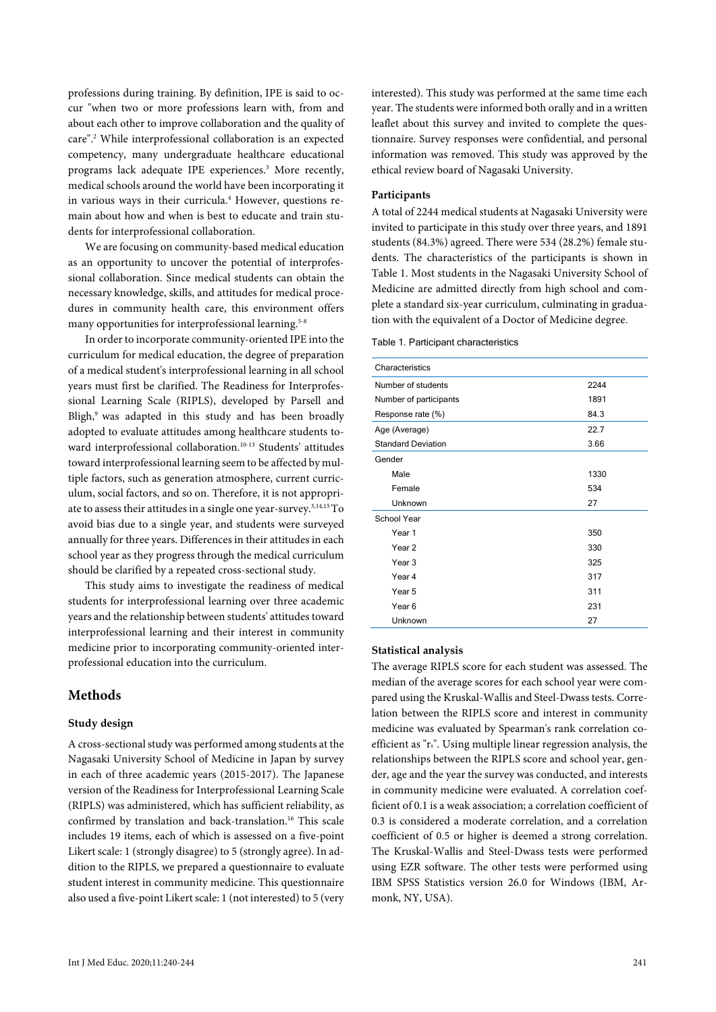professions during training. By definition, IPE is said to occur "when two or more professions learn with, from and about each other to improve collaboration and the quality of care".2 While interprofessional collaboration is an expected competency, many undergraduate healthcare educational programs lack adequate IPE experiences.3 More recently, medical schools around the world have been incorporating it in various ways in their curricula.<sup>4</sup> However, questions remain about how and when is best to educate and train students for interprofessional collaboration.

We are focusing on community-based medical education as an opportunity to uncover the potential of interprofessional collaboration. Since medical students can obtain the necessary knowledge, skills, and attitudes for medical procedures in community health care, this environment offers many opportunities for interprofessional learning.<sup>5-8</sup>

In order to incorporate community-oriented IPE into the curriculum for medical education, the degree of preparation of a medical student's interprofessional learning in all school years must first be clarified. The Readiness for Interprofessional Learning Scale (RIPLS), developed by Parsell and Bligh,<sup>9</sup> was adapted in this study and has been broadly adopted to evaluate attitudes among healthcare students toward interprofessional collaboration.<sup>10-13</sup> Students' attitudes toward interprofessional learning seem to be affected by multiple factors, such as generation atmosphere, current curriculum, social factors, and so on. Therefore, it is not appropriate to assess their attitudes in a single one year-survey.3,14,15 To avoid bias due to a single year, and students were surveyed annually for three years. Differences in their attitudes in each school year as they progress through the medical curriculum should be clarified by a repeated cross-sectional study.

This study aims to investigate the readiness of medical students for interprofessional learning over three academic years and the relationship between students' attitudes toward interprofessional learning and their interest in community medicine prior to incorporating community-oriented interprofessional education into the curriculum.

## **Methods**

#### **Study design**

A cross-sectional study was performed among students at the Nagasaki University School of Medicine in Japan by survey in each of three academic years (2015-2017). The Japanese version of the Readiness for Interprofessional Learning Scale (RIPLS) was administered, which has sufficient reliability, as confirmed by translation and back-translation.16 This scale includes 19 items, each of which is assessed on a five-point Likert scale: 1 (strongly disagree) to 5 (strongly agree). In addition to the RIPLS, we prepared a questionnaire to evaluate student interest in community medicine. This questionnaire also used a five-point Likert scale: 1 (not interested) to 5 (very interested). This study was performed at the same time each year. The students were informed both orally and in a written leaflet about this survey and invited to complete the questionnaire. Survey responses were confidential, and personal information was removed. This study was approved by the ethical review board of Nagasaki University.

#### **Participants**

A total of 2244 medical students at Nagasaki University were invited to participate in this study over three years, and 1891 students (84.3%) agreed. There were 534 (28.2%) female students. The characteristics of the participants is shown in Table 1. Most students in the Nagasaki University School of Medicine are admitted directly from high school and complete a standard six-year curriculum, culminating in graduation with the equivalent of a Doctor of Medicine degree.

Table 1. Participant characteristics

| Characteristics           |      |  |  |  |  |
|---------------------------|------|--|--|--|--|
| Number of students        | 2244 |  |  |  |  |
| Number of participants    | 1891 |  |  |  |  |
| Response rate (%)         | 84.3 |  |  |  |  |
| Age (Average)             | 22.7 |  |  |  |  |
| <b>Standard Deviation</b> | 3.66 |  |  |  |  |
| Gender                    |      |  |  |  |  |
| Male                      | 1330 |  |  |  |  |
| Female                    | 534  |  |  |  |  |
| Unknown                   | 27   |  |  |  |  |
| School Year               |      |  |  |  |  |
| Year 1                    | 350  |  |  |  |  |
| Year <sub>2</sub>         | 330  |  |  |  |  |
| Year 3                    | 325  |  |  |  |  |
| Year 4                    | 317  |  |  |  |  |
| Year 5                    | 311  |  |  |  |  |
| Year <sub>6</sub>         | 231  |  |  |  |  |
| Unknown                   | 27   |  |  |  |  |

#### **Statistical analysis**

The average RIPLS score for each student was assessed. The median of the average scores for each school year were compared using the Kruskal-Wallis and Steel-Dwass tests. Correlation between the RIPLS score and interest in community medicine was evaluated by Spearman's rank correlation coefficient as "rs". Using multiple linear regression analysis, the relationships between the RIPLS score and school year, gender, age and the year the survey was conducted, and interests in community medicine were evaluated. A correlation coefficient of 0.1 is a weak association; a correlation coefficient of 0.3 is considered a moderate correlation, and a correlation coefficient of 0.5 or higher is deemed a strong correlation. The Kruskal-Wallis and Steel-Dwass tests were performed using EZR software. The other tests were performed using IBM SPSS Statistics version 26.0 for Windows (IBM, Armonk, NY, USA).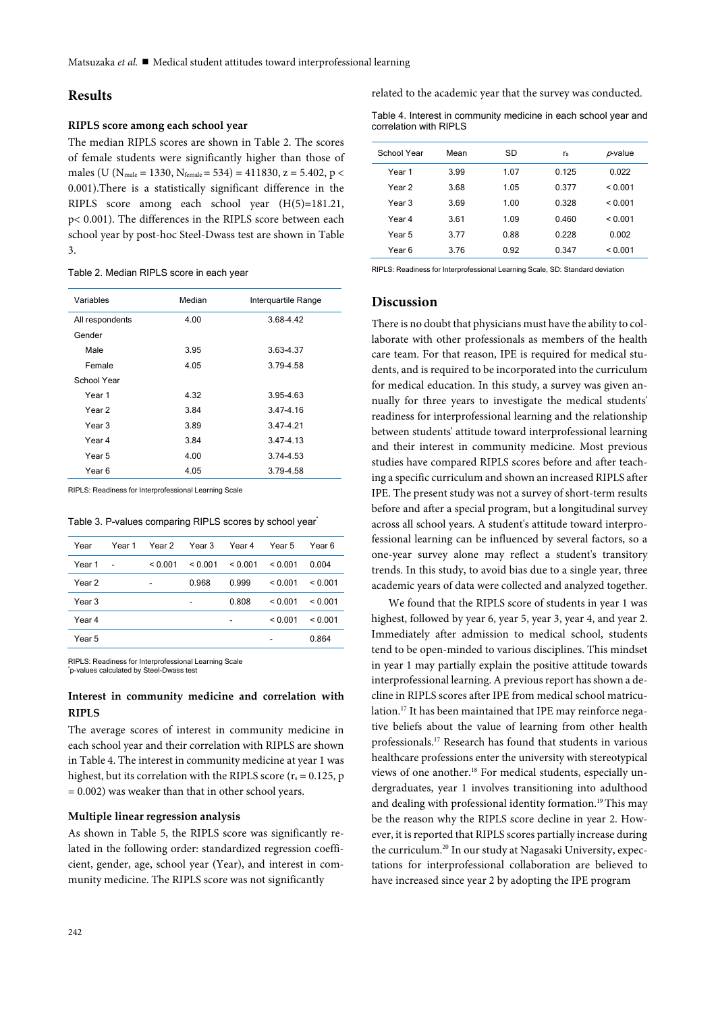# **Results**

## **RIPLS score among each school year**

The median RIPLS scores are shown in Table 2. The scores of female students were significantly higher than those of males (U (N<sub>male</sub> = 1330, N<sub>female</sub> = 534) = 411830, z = 5.402, p < 0.001).There is a statistically significant difference in the RIPLS score among each school year (H(5)=181.21, p< 0.001). The differences in the RIPLS score between each school year by post-hoc Steel-Dwass test are shown in Table 3.

#### Table 2. Median RIPLS score in each year

| Variables       | Median | Interguartile Range |  |  |
|-----------------|--------|---------------------|--|--|
| All respondents | 4.00   | 3.68-4.42           |  |  |
| Gender          |        |                     |  |  |
| Male            | 3.95   | 3.63-4.37           |  |  |
| Female          | 4.05   | 3.79-4.58           |  |  |
| School Year     |        |                     |  |  |
| Year 1          | 4.32   | 3.95-4.63           |  |  |
| Year 2          | 3.84   | 3.47-4.16           |  |  |
| Year 3          | 3.89   | 3.47-4.21           |  |  |
| Year 4          | 3.84   | 3.47-4.13           |  |  |
| Year 5          | 4.00   | 3.74-4.53           |  |  |
| Year 6          | 4.05   | 3.79-4.58           |  |  |

RIPLS: Readiness for Interprofessional Learning Scale

|  | Table 3. P-values comparing RIPLS scores by school year* |  |  |
|--|----------------------------------------------------------|--|--|
|  |                                                          |  |  |

| Year   | Year 1 | Year 2  | Year 3  | Year 4                   | Year 5  | Year 6  |
|--------|--------|---------|---------|--------------------------|---------|---------|
| Year 1 | ٠      | < 0.001 | < 0.001 | < 0.001                  | < 0.001 | 0.004   |
| Year 2 |        |         | 0.968   | 0.999                    | < 0.001 | < 0.001 |
| Year 3 |        |         | -       | 0.808                    | < 0.001 | < 0.001 |
| Year 4 |        |         |         | $\overline{\phantom{0}}$ | < 0.001 | < 0.001 |
| Year 5 |        |         |         |                          | -       | 0.864   |
|        |        |         |         |                          |         |         |

RIPLS: Readiness for Interprofessional Learning Scale

\* p-values calculated by Steel-Dwass test

## **Interest in community medicine and correlation with RIPLS**

The average scores of interest in community medicine in each school year and their correlation with RIPLS are shown in Table 4. The interest in community medicine at year 1 was highest, but its correlation with the RIPLS score ( $r_s = 0.125$ , p  $= 0.002$ ) was weaker than that in other school years.

#### **Multiple linear regression analysis**

As shown in Table 5, the RIPLS score was significantly related in the following order: standardized regression coefficient, gender, age, school year (Year), and interest in community medicine. The RIPLS score was not significantly

related to the academic year that the survey was conducted.

| Table 4. Interest in community medicine in each school year and |  |  |
|-----------------------------------------------------------------|--|--|
| correlation with RIPLS                                          |  |  |

| School Year | Mean | SD   | ľs    | $p$ -value   |
|-------------|------|------|-------|--------------|
| Year 1      | 3.99 | 1.07 | 0.125 | 0.022        |
| Year 2      | 3.68 | 1.05 | 0.377 | ${}_{0.001}$ |
| Year 3      | 3.69 | 1.00 | 0.328 | ${}_{0.001}$ |
| Year 4      | 3.61 | 1.09 | 0.460 | ${}_{0.001}$ |
| Year 5      | 3.77 | 0.88 | 0.228 | 0.002        |
| Year 6      | 3.76 | 0.92 | 0.347 | ${}_{0.001}$ |

RIPLS: Readiness for Interprofessional Learning Scale, SD: Standard deviation

## **Discussion**

There is no doubt that physicians must have the ability to collaborate with other professionals as members of the health care team. For that reason, IPE is required for medical students, and is required to be incorporated into the curriculum for medical education. In this study, a survey was given annually for three years to investigate the medical students' readiness for interprofessional learning and the relationship between students' attitude toward interprofessional learning and their interest in community medicine. Most previous studies have compared RIPLS scores before and after teaching a specific curriculum and shown an increased RIPLS after IPE. The present study was not a survey of short-term results before and after a special program, but a longitudinal survey across all school years. A student's attitude toward interprofessional learning can be influenced by several factors, so a one-year survey alone may reflect a student's transitory trends. In this study, to avoid bias due to a single year, three academic years of data were collected and analyzed together.

We found that the RIPLS score of students in year 1 was highest, followed by year 6, year 5, year 3, year 4, and year 2. Immediately after admission to medical school, students tend to be open-minded to various disciplines. This mindset in year 1 may partially explain the positive attitude towards interprofessional learning. A previous report has shown a decline in RIPLS scores after IPE from medical school matriculation.17 It has been maintained that IPE may reinforce negative beliefs about the value of learning from other health professionals.17 Research has found that students in various healthcare professions enter the university with stereotypical views of one another.18 For medical students, especially undergraduates, year 1 involves transitioning into adulthood and dealing with professional identity formation.<sup>19</sup> This may be the reason why the RIPLS score decline in year 2. However, it is reported that RIPLS scores partially increase during the curriculum.20 In our study at Nagasaki University, expectations for interprofessional collaboration are believed to have increased since year 2 by adopting the IPE program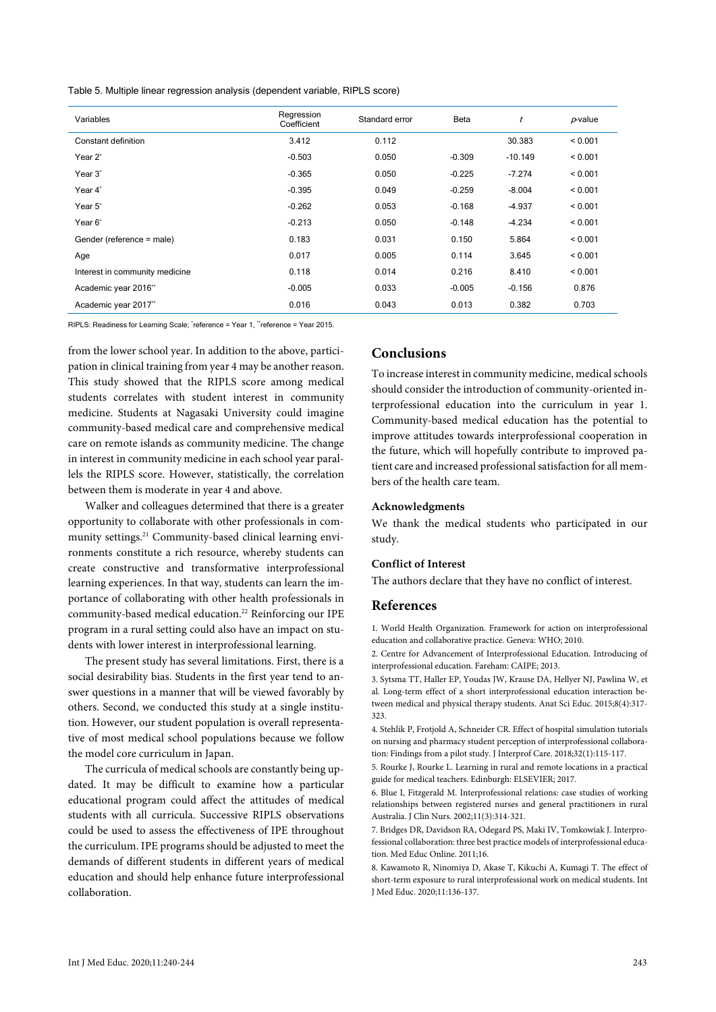Table 5. Multiple linear regression analysis (dependent variable, RIPLS score)

| Variables                      | Regression<br>Coefficient | Standard error | Beta     | t         | $p$ -value |
|--------------------------------|---------------------------|----------------|----------|-----------|------------|
| Constant definition            | 3.412                     | 0.112          |          | 30.383    | < 0.001    |
| Year <sub>2</sub> *            | $-0.503$                  | 0.050          | $-0.309$ | $-10.149$ | < 0.001    |
| Year 3*                        | $-0.365$                  | 0.050          | $-0.225$ | $-7.274$  | < 0.001    |
| Year 4*                        | $-0.395$                  | 0.049          | $-0.259$ | $-8.004$  | < 0.001    |
| Year 5*                        | $-0.262$                  | 0.053          | $-0.168$ | $-4.937$  | < 0.001    |
| Year 6*                        | $-0.213$                  | 0.050          | $-0.148$ | $-4.234$  | < 0.001    |
| Gender (reference = male)      | 0.183                     | 0.031          | 0.150    | 5.864     | < 0.001    |
| Age                            | 0.017                     | 0.005          | 0.114    | 3.645     | < 0.001    |
| Interest in community medicine | 0.118                     | 0.014          | 0.216    | 8.410     | < 0.001    |
| Academic year 2016"            | $-0.005$                  | 0.033          | $-0.005$ | $-0.156$  | 0.876      |
| Academic year 2017"            | 0.016                     | 0.043          | 0.013    | 0.382     | 0.703      |

RIPLS: Readiness for Learning Scale; 'reference = Year 1, "reference = Year 2015.

from the lower school year. In addition to the above, participation in clinical training from year 4 may be another reason. This study showed that the RIPLS score among medical students correlates with student interest in community medicine. Students at Nagasaki University could imagine community-based medical care and comprehensive medical care on remote islands as community medicine. The change in interest in community medicine in each school year parallels the RIPLS score. However, statistically, the correlation between them is moderate in year 4 and above.

Walker and colleagues determined that there is a greater opportunity to collaborate with other professionals in community settings.<sup>21</sup> Community-based clinical learning environments constitute a rich resource, whereby students can create constructive and transformative interprofessional learning experiences. In that way, students can learn the importance of collaborating with other health professionals in community-based medical education.<sup>22</sup> Reinforcing our IPE program in a rural setting could also have an impact on students with lower interest in interprofessional learning.

The present study has several limitations. First, there is a social desirability bias. Students in the first year tend to answer questions in a manner that will be viewed favorably by others. Second, we conducted this study at a single institution. However, our student population is overall representative of most medical school populations because we follow the model core curriculum in Japan.

The curricula of medical schools are constantly being updated. It may be difficult to examine how a particular educational program could affect the attitudes of medical students with all curricula. Successive RIPLS observations could be used to assess the effectiveness of IPE throughout the curriculum. IPE programs should be adjusted to meet the demands of different students in different years of medical education and should help enhance future interprofessional collaboration.

# **Conclusions**

To increase interest in community medicine, medical schools should consider the introduction of community-oriented interprofessional education into the curriculum in year 1. Community-based medical education has the potential to improve attitudes towards interprofessional cooperation in the future, which will hopefully contribute to improved patient care and increased professional satisfaction for all members of the health care team.

## **Acknowledgments**

We thank the medical students who participated in our study.

#### **Conflict of Interest**

The authors declare that they have no conflict of interest.

#### **References**

1. World Health Organization. Framework for action on interprofessional education and collaborative practice. Geneva: WHO; 2010.

2. Centre for Advancement of Interprofessional Education. Introducing of interprofessional education. Fareham: CAIPE; 2013.

3. Sytsma TT, Haller EP, Youdas JW, Krause DA, Hellyer NJ, Pawlina W, et al. Long-term effect of a short interprofessional education interaction between medical and physical therapy students. Anat Sci Educ. 2015;8(4):317- 323.

4. Stehlik P, Frotjold A, Schneider CR. Effect of hospital simulation tutorials on nursing and pharmacy student perception of interprofessional collaboration: Findings from a pilot study. J Interprof Care. 2018;32(1):115-117.

5. Rourke J, Rourke L. Learning in rural and remote locations in a practical guide for medical teachers. Edinburgh: ELSEVIER; 2017.

6. Blue I, Fitzgerald M. Interprofessional relations: case studies of working relationships between registered nurses and general practitioners in rural Australia. J Clin Nurs. 2002;11(3):314-321.

7. Bridges DR, Davidson RA, Odegard PS, Maki IV, Tomkowiak J. Interprofessional collaboration: three best practice models of interprofessional education. Med Educ Online. 2011;16.

8. Kawamoto R, Ninomiya D, Akase T, Kikuchi A, Kumagi T. The effect of short-term exposure to rural interprofessional work on medical students. Int J Med Educ. 2020;11:136-137.